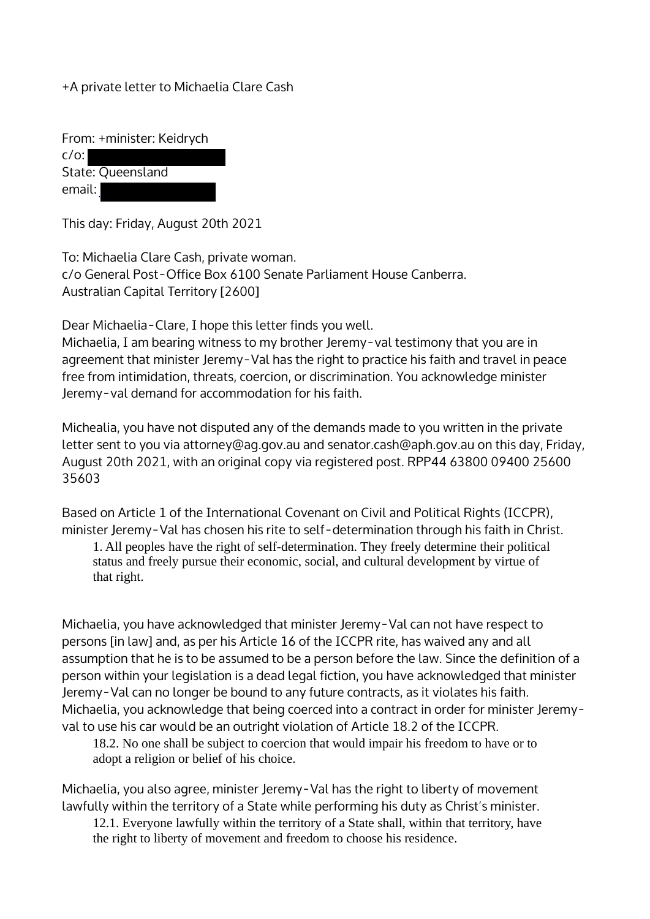+A private letter to Michaelia Clare Cash

From: +minister: Keidrych c/o: State: Queensland email:

This day: Friday, August 20th 2021

To: Michaelia Clare Cash, private woman. c/o General Post-Office Box 6100 Senate Parliament House Canberra. Australian Capital Territory [2600]

Dear Michaelia-Clare, I hope this letter finds you well.

Michaelia, I am bearing witness to my brother Jeremy-val testimony that you are in agreement that minister Jeremy-Val has the right to practice his faith and travel in peace free from intimidation, threats, coercion, or discrimination. You acknowledge minister Jeremy-val demand for accommodation for his faith.

Michealia, you have not disputed any of the demands made to you written in the private letter sent to you via attorney@ag.gov.au and senator.cash@aph.gov.au on this day, Friday, August 20th 2021, with an original copy via registered post. RPP44 63800 09400 25600 35603

Based on Article 1 of the International Covenant on Civil and Political Rights (ICCPR), minister Jeremy-Val has chosen his rite to self-determination through his faith in Christ.

1. All peoples have the right of self-determination. They freely determine their political status and freely pursue their economic, social, and cultural development by virtue of that right.

Michaelia, you have acknowledged that minister Jeremy-Val can not have respect to persons [in law] and, as per his Article 16 of the ICCPR rite, has waived any and all assumption that he is to be assumed to be a person before the law. Since the definition of a person within your legislation is a dead legal fiction, you have acknowledged that minister Jeremy-Val can no longer be bound to any future contracts, as it violates his faith. Michaelia, you acknowledge that being coerced into a contract in order for minister Jeremyval to use his car would be an outright violation of Article 18.2 of the ICCPR.

18.2. No one shall be subject to coercion that would impair his freedom to have or to adopt a religion or belief of his choice.

Michaelia, you also agree, minister Jeremy-Val has the right to liberty of movement lawfully within the territory of a State while performing his duty as Christ's minister.

12.1. Everyone lawfully within the territory of a State shall, within that territory, have the right to liberty of movement and freedom to choose his residence.